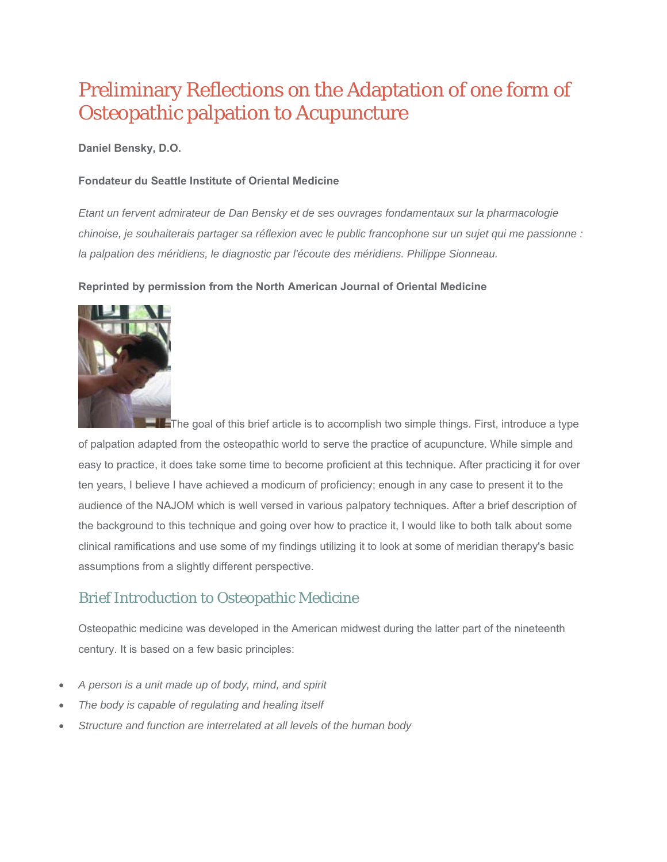# Preliminary Reflections on the Adaptation of one form of Osteopathic palpation to Acupuncture

#### **Daniel Bensky, D.O.**

#### **Fondateur du Seattle Institute of Oriental Medicine**

*Etant un fervent admirateur de Dan Bensky et de ses ouvrages fondamentaux sur la pharmacologie chinoise, je souhaiterais partager sa réflexion avec le public francophone sur un sujet qui me passionne : la palpation des méridiens, le diagnostic par l'écoute des méridiens. Philippe Sionneau.*

#### **Reprinted by permission from the North American Journal of Oriental Medicine**



**The goal of this brief article is to accomplish two simple things. First, introduce a type** of palpation adapted from the osteopathic world to serve the practice of acupuncture. While simple and easy to practice, it does take some time to become proficient at this technique. After practicing it for over ten years, I believe I have achieved a modicum of proficiency; enough in any case to present it to the audience of the NAJOM which is well versed in various palpatory techniques. After a brief description of the background to this technique and going over how to practice it, I would like to both talk about some clinical ramifications and use some of my findings utilizing it to look at some of meridian therapy's basic assumptions from a slightly different perspective.

## Brief Introduction to Osteopathic Medicine

Osteopathic medicine was developed in the American midwest during the latter part of the nineteenth century. It is based on a few basic principles:

- *A person is a unit made up of body, mind, and spirit*
- *The body is capable of regulating and healing itself*
- *Structure and function are interrelated at all levels of the human body*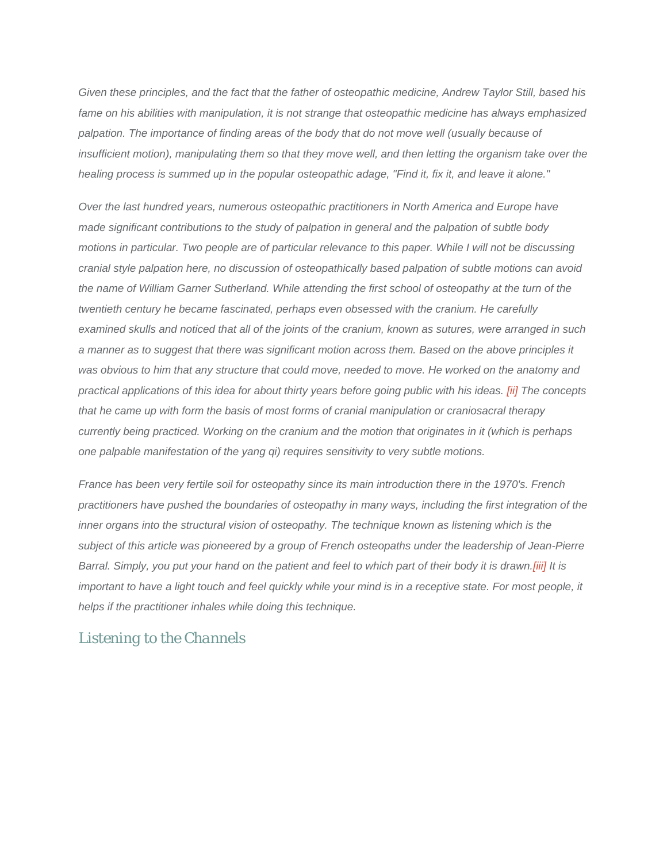*Given these principles, and the fact that the father of osteopathic medicine, Andrew Taylor Still, based his fame on his abilities with manipulation, it is not strange that osteopathic medicine has always emphasized*  palpation. The importance of finding areas of the body that do not move well (usually because of *insufficient motion), manipulating them so that they move well, and then letting the organism take over the healing process is summed up in the popular osteopathic adage, "Find it, fix it, and leave it alone."* 

*Over the last hundred years, numerous osteopathic practitioners in North America and Europe have made significant contributions to the study of palpation in general and the palpation of subtle body motions in particular. Two people are of particular relevance to this paper. While I will not be discussing cranial style palpation here, no discussion of osteopathically based palpation of subtle motions can avoid the name of William Garner Sutherland. While attending the first school of osteopathy at the turn of the twentieth century he became fascinated, perhaps even obsessed with the cranium. He carefully examined skulls and noticed that all of the joints of the cranium, known as sutures, were arranged in such a manner as to suggest that there was significant motion across them. Based on the above principles it was obvious to him that any structure that could move, needed to move. He worked on the anatomy and practical applications of this idea for about thirty years before going public with his ideas. [ii] The concepts that he came up with form the basis of most forms of cranial manipulation or craniosacral therapy currently being practiced. Working on the cranium and the motion that originates in it (which is perhaps one palpable manifestation of the yang qi) requires sensitivity to very subtle motions.* 

*France has been very fertile soil for osteopathy since its main introduction there in the 1970's. French practitioners have pushed the boundaries of osteopathy in many ways, including the first integration of the inner organs into the structural vision of osteopathy. The technique known as listening which is the subject of this article was pioneered by a group of French osteopaths under the leadership of Jean-Pierre Barral. Simply, you put your hand on the patient and feel to which part of their body it is drawn.[iii] It is*  important to have a light touch and feel quickly while your mind is in a receptive state. For most people, it *helps if the practitioner inhales while doing this technique.* 

### *Listening to the Channels*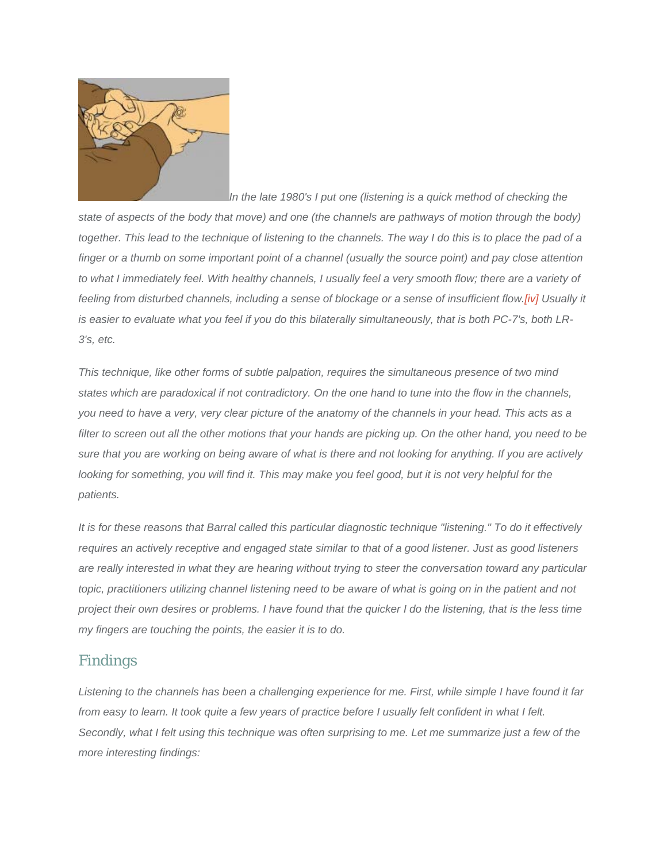

*In the late 1980's I put one (listening is a quick method of checking the state of aspects of the body that move) and one (the channels are pathways of motion through the body) together. This lead to the technique of listening to the channels. The way I do this is to place the pad of a finger or a thumb on some important point of a channel (usually the source point) and pay close attention*  to what I immediately feel. With healthy channels, I usually feel a very smooth flow; there are a variety of feeling from disturbed channels, including a sense of blockage or a sense of insufficient flow.[iv] Usually it *is easier to evaluate what you feel if you do this bilaterally simultaneously, that is both PC-7's, both LR-3's, etc.* 

*This technique, like other forms of subtle palpation, requires the simultaneous presence of two mind states which are paradoxical if not contradictory. On the one hand to tune into the flow in the channels, you need to have a very, very clear picture of the anatomy of the channels in your head. This acts as a filter to screen out all the other motions that your hands are picking up. On the other hand, you need to be sure that you are working on being aware of what is there and not looking for anything. If you are actively looking for something, you will find it. This may make you feel good, but it is not very helpful for the patients.* 

*It is for these reasons that Barral called this particular diagnostic technique "listening." To do it effectively requires an actively receptive and engaged state similar to that of a good listener. Just as good listeners are really interested in what they are hearing without trying to steer the conversation toward any particular topic, practitioners utilizing channel listening need to be aware of what is going on in the patient and not project their own desires or problems. I have found that the quicker I do the listening, that is the less time my fingers are touching the points, the easier it is to do.* 

### *Findings*

*Listening to the channels has been a challenging experience for me. First, while simple I have found it far from easy to learn. It took quite a few years of practice before I usually felt confident in what I felt. Secondly, what I felt using this technique was often surprising to me. Let me summarize just a few of the more interesting findings:*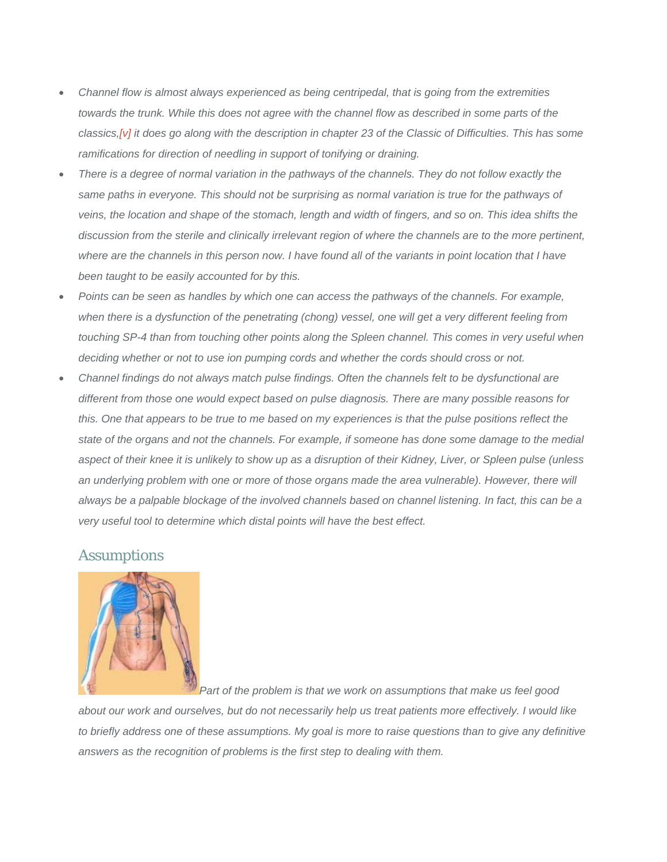- *Channel flow is almost always experienced as being centripedal, that is going from the extremities towards the trunk. While this does not agree with the channel flow as described in some parts of the classics,[v] it does go along with the description in chapter 23 of the Classic of Difficulties. This has some ramifications for direction of needling in support of tonifying or draining.*
- *There is a degree of normal variation in the pathways of the channels. They do not follow exactly the same paths in everyone. This should not be surprising as normal variation is true for the pathways of veins, the location and shape of the stomach, length and width of fingers, and so on. This idea shifts the discussion from the sterile and clinically irrelevant region of where the channels are to the more pertinent, where are the channels in this person now. I have found all of the variants in point location that I have been taught to be easily accounted for by this.*
- *Points can be seen as handles by which one can access the pathways of the channels. For example, when there is a dysfunction of the penetrating (chong) vessel, one will get a very different feeling from touching SP-4 than from touching other points along the Spleen channel. This comes in very useful when deciding whether or not to use ion pumping cords and whether the cords should cross or not.*
- *Channel findings do not always match pulse findings. Often the channels felt to be dysfunctional are different from those one would expect based on pulse diagnosis. There are many possible reasons for this. One that appears to be true to me based on my experiences is that the pulse positions reflect the state of the organs and not the channels. For example, if someone has done some damage to the medial aspect of their knee it is unlikely to show up as a disruption of their Kidney, Liver, or Spleen pulse (unless an underlying problem with one or more of those organs made the area vulnerable). However, there will always be a palpable blockage of the involved channels based on channel listening. In fact, this can be a very useful tool to determine which distal points will have the best effect.*

#### *Assumptions*



*Part of the problem is that we work on assumptions that make us feel good* 

*about our work and ourselves, but do not necessarily help us treat patients more effectively. I would like to briefly address one of these assumptions. My goal is more to raise questions than to give any definitive answers as the recognition of problems is the first step to dealing with them.*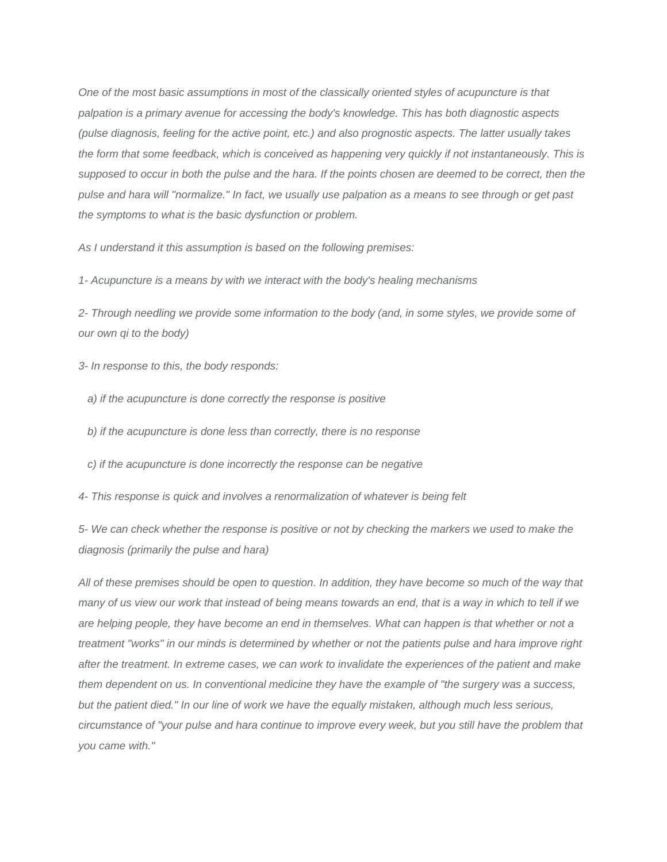*One of the most basic assumptions in most of the classically oriented styles of acupuncture is that palpation is a primary avenue for accessing the body's knowledge. This has both diagnostic aspects (pulse diagnosis, feeling for the active point, etc.) and also prognostic aspects. The latter usually takes the form that some feedback, which is conceived as happening very quickly if not instantaneously. This is supposed to occur in both the pulse and the hara. If the points chosen are deemed to be correct, then the pulse and hara will "normalize." In fact, we usually use palpation as a means to see through or get past the symptoms to what is the basic dysfunction or problem.* 

*As I understand it this assumption is based on the following premises:* 

*1- Acupuncture is a means by with we interact with the body's healing mechanisms* 

*2- Through needling we provide some information to the body (and, in some styles, we provide some of our own qi to the body)* 

*3- In response to this, the body responds:* 

- *a) if the acupuncture is done correctly the response is positive*
- *b) if the acupuncture is done less than correctly, there is no response*
- *c) if the acupuncture is done incorrectly the response can be negative*
- *4- This response is quick and involves a renormalization of whatever is being felt*

*5- We can check whether the response is positive or not by checking the markers we used to make the diagnosis (primarily the pulse and hara)* 

*All of these premises should be open to question. In addition, they have become so much of the way that many of us view our work that instead of being means towards an end, that is a way in which to tell if we are helping people, they have become an end in themselves. What can happen is that whether or not a treatment "works" in our minds is determined by whether or not the patients pulse and hara improve right after the treatment. In extreme cases, we can work to invalidate the experiences of the patient and make them dependent on us. In conventional medicine they have the example of "the surgery was a success, but the patient died." In our line of work we have the equally mistaken, although much less serious, circumstance of "your pulse and hara continue to improve every week, but you still have the problem that you came with."*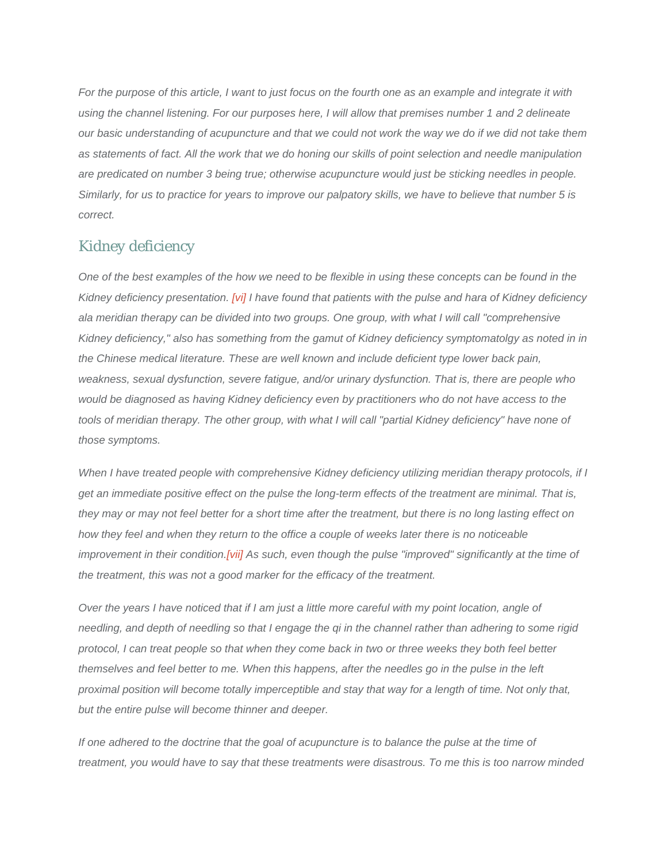*For the purpose of this article, I want to just focus on the fourth one as an example and integrate it with using the channel listening. For our purposes here, I will allow that premises number 1 and 2 delineate our basic understanding of acupuncture and that we could not work the way we do if we did not take them as statements of fact. All the work that we do honing our skills of point selection and needle manipulation are predicated on number 3 being true; otherwise acupuncture would just be sticking needles in people. Similarly, for us to practice for years to improve our palpatory skills, we have to believe that number 5 is correct.* 

## *Kidney deficiency*

*One of the best examples of the how we need to be flexible in using these concepts can be found in the Kidney deficiency presentation. [vi] I have found that patients with the pulse and hara of Kidney deficiency ala meridian therapy can be divided into two groups. One group, with what I will call "comprehensive Kidney deficiency," also has something from the gamut of Kidney deficiency symptomatolgy as noted in in the Chinese medical literature. These are well known and include deficient type lower back pain, weakness, sexual dysfunction, severe fatigue, and/or urinary dysfunction. That is, there are people who would be diagnosed as having Kidney deficiency even by practitioners who do not have access to the tools of meridian therapy. The other group, with what I will call "partial Kidney deficiency" have none of those symptoms.* 

*When I have treated people with comprehensive Kidney deficiency utilizing meridian therapy protocols, if I get an immediate positive effect on the pulse the long-term effects of the treatment are minimal. That is, they may or may not feel better for a short time after the treatment, but there is no long lasting effect on how they feel and when they return to the office a couple of weeks later there is no noticeable improvement in their condition.[vii] As such, even though the pulse "improved" significantly at the time of the treatment, this was not a good marker for the efficacy of the treatment.* 

*Over the years I have noticed that if I am just a little more careful with my point location, angle of needling, and depth of needling so that I engage the qi in the channel rather than adhering to some rigid protocol, I can treat people so that when they come back in two or three weeks they both feel better themselves and feel better to me. When this happens, after the needles go in the pulse in the left proximal position will become totally imperceptible and stay that way for a length of time. Not only that, but the entire pulse will become thinner and deeper.* 

*If one adhered to the doctrine that the goal of acupuncture is to balance the pulse at the time of treatment, you would have to say that these treatments were disastrous. To me this is too narrow minded*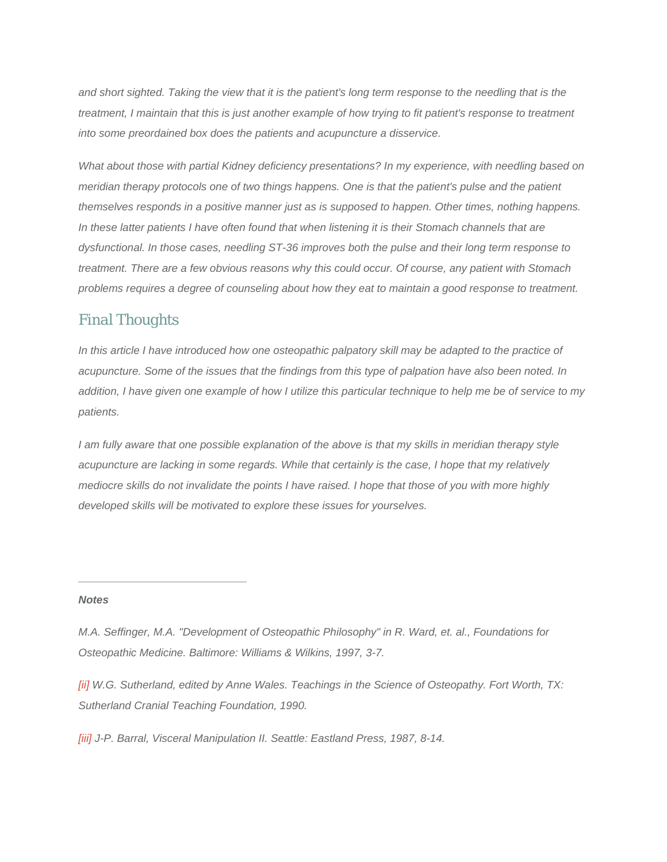*and short sighted. Taking the view that it is the patient's long term response to the needling that is the treatment, I maintain that this is just another example of how trying to fit patient's response to treatment into some preordained box does the patients and acupuncture a disservice.* 

*What about those with partial Kidney deficiency presentations? In my experience, with needling based on meridian therapy protocols one of two things happens. One is that the patient's pulse and the patient themselves responds in a positive manner just as is supposed to happen. Other times, nothing happens. In these latter patients I have often found that when listening it is their Stomach channels that are dysfunctional. In those cases, needling ST-36 improves both the pulse and their long term response to treatment. There are a few obvious reasons why this could occur. Of course, any patient with Stomach problems requires a degree of counseling about how they eat to maintain a good response to treatment.* 

## *Final Thoughts*

*In this article I have introduced how one osteopathic palpatory skill may be adapted to the practice of acupuncture. Some of the issues that the findings from this type of palpation have also been noted. In addition, I have given one example of how I utilize this particular technique to help me be of service to my patients.* 

*I* am fully aware that one possible explanation of the above is that my skills in meridian therapy style *acupuncture are lacking in some regards. While that certainly is the case, I hope that my relatively mediocre skills do not invalidate the points I have raised. I hope that those of you with more highly developed skills will be motivated to explore these issues for yourselves.* 

#### *Notes*

*[ii] W.G. Sutherland, edited by Anne Wales. Teachings in the Science of Osteopathy. Fort Worth, TX: Sutherland Cranial Teaching Foundation, 1990.* 

*[iii] J-P. Barral, Visceral Manipulation II. Seattle: Eastland Press, 1987, 8-14.* 

*M.A. Seffinger, M.A. "Development of Osteopathic Philosophy" in R. Ward, et. al., Foundations for Osteopathic Medicine. Baltimore: Williams & Wilkins, 1997, 3-7.*